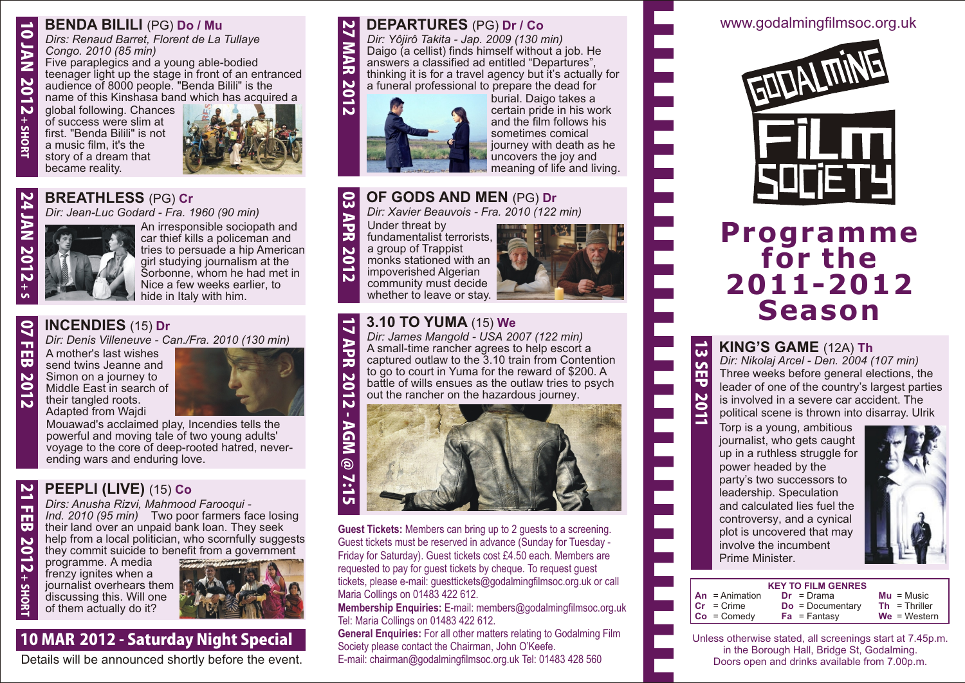# **BENDA BILILI** (PG) **Do / Mu**

*Dirs: Renaud Barret, Florent de La Tullaye Congo. 2010 (85 min)*

Five paraplegics and a young able-bodied teenager light up the stage in front of an entranced audience of 8000 people. "Benda Bilili" is the name of this Kinshasa band which has acquired a

global following. Chances of success were slim at first. "Benda Bilili" is not a music film, it's the story of a dream that became reality.



# **BREATHLESS** (PG) **Cr** 2 4 J A

*Dir: Jean-Luc Godard - Fra. 1960 (90 min)*



An irresponsible sociopath and car thief kills a policeman and tries to persuade a hip American girl studying journalism at the Sorbonne, whom he had met in Nice a few weeks earlier, to hide in Italy with him.

#### **INCENDIES** (15) **Dr** <u>م</u>

*Dir: Denis Villeneuve - Can./Fra. 2010 (130 min)*

F E B 2 0 1 2 A mother's last wishes send twins Jeanne and Simon on a journey to Middle East in search of their tangled roots. Adapted from Wajdi

 $\boldsymbol{\mathsf{N}}$ د 고<br>대

د  $\bullet$ J A Z N <u>ទ</u> N<br>+

SH O R T

2012+

SH O R T



Mouawad's acclaimed play, Incendies tells the powerful and moving tale of two young adults' voyage to the core of deep-rooted hatred, neverending wars and enduring love.

# **PEEPLI (LIVE)** (15) **Co**

*Dirs: Anusha Rizvi, Mahmood Farooqui - Ind. 2010 (95 min)* Two poor farmers face losing their land over an unpaid bank loan. They seek help from a local politician, who scornfully suggests they commit suicide to benefit from a government

programme. A media frenzy ignites when a journalist overhears them discussing this. Will one of them actually do it?



# 10 MAR 2012 - Saturday Night Special

Details will be announced shortly before the event.

#### **DEPARTURES** (PG) **Dr / Co**  $\boldsymbol{\mathsf{N}}$

*Dir: Yôjirô Takita - Jap. 2009 (130 min)* Daigo (a cellist) finds himself without a job. He answers a classified ad entitled "Departures", thinking it is for a travel agency but it's actually for a funeral professional to prepare the dead for  $\blacktriangleright$ M  $\blacktriangleright$ R



burial. Daigo takes a certain pride in his work and the film follows his sometimes comical journey with death as he uncovers the joy and meaning of life and living.

#### **OF GODS AND MEN** (PG) **Dr** င္ယ

*Dir: Xavier Beauvois - Fra. 2010 (122 min)*

 $\blacktriangleright$ ত R 2 0 1 2 Under threat by fundamentalist terrorists, a group of Trappist monks stationed with an impoverished Algerian community must decide whether to leave or stay.

 $\blacktriangleright$ ত **R** 2 0



#### **3.10 TO YUMA** (15) **We**  $\overline{\phantom{0}}$  $\blacktriangleright$

*Dir: James Mangold - USA 2007 (122 min)* A small-time rancher agrees to help escort a captured outlaw to the 3.10 train from Contention to go to court in Yuma for the reward of \$200. A battle of wills ensues as the outlaw tries to psych out the rancher on the hazardous journey.



**Guest Tickets:** Members can bring up to 2 guests to a screening. Guest tickets must be reserved in advance (Sunday for Tuesday - Friday for Saturday). Guest tickets cost £4.50 each. Members are requested to pay for guest tickets by cheque. To request guest tickets, please e-mail: guesttickets@godalmingfilmsoc.org.uk or call Maria Collings on 01483 422 612.

**Membership Enquiries:** E-mail: members@godalmingfilmsoc.org.uk Tel: Maria Collings on 01483 422 612.

**General Enquiries:** For all other matters relating to Godalming Film Society please contact the Chairman, John O'Keefe.

E-mail: chairman@godalmingfilmsoc.org.uk Tel: 01483 428 560

# www.godalmingfilmsoc.org.uk



# **Programme for the 2011-2012 Season**

# **KING'S GAME** (12A) **Th**

<u>ن</u>

S E P

<u>प्र</u>  $\overline{\phantom{a}}$  $\overline{\phantom{a}}$  *Dir: Nikolaj Arcel - Den. 2004 (107 min)* Three weeks before general elections, the leader of one of the country's largest parties is involved in a severe car accident. The political scene is thrown into disarray. Ulrik

Torp is a young, ambitious journalist, who gets caught up in a ruthless struggle for power headed by the party's two successors to leadership. Speculation and calculated lies fuel the controversy, and a cynical plot is uncovered that may involve the incumbent Prime Minister.



#### **KEY TO FILM GENRES An** = Animation **Cr** = Crime **Co** = Comedy **Dr** = Drama **Do** = Documentary **Fa** = Fantasy **Mu** = Music **Th** = Thriller **We** = Western

Unless otherwise stated, all screenings start at 7.45p.m. in the Borough Hall, Bridge St, Godalming. Doors open and drinks available from 7.00p.m.